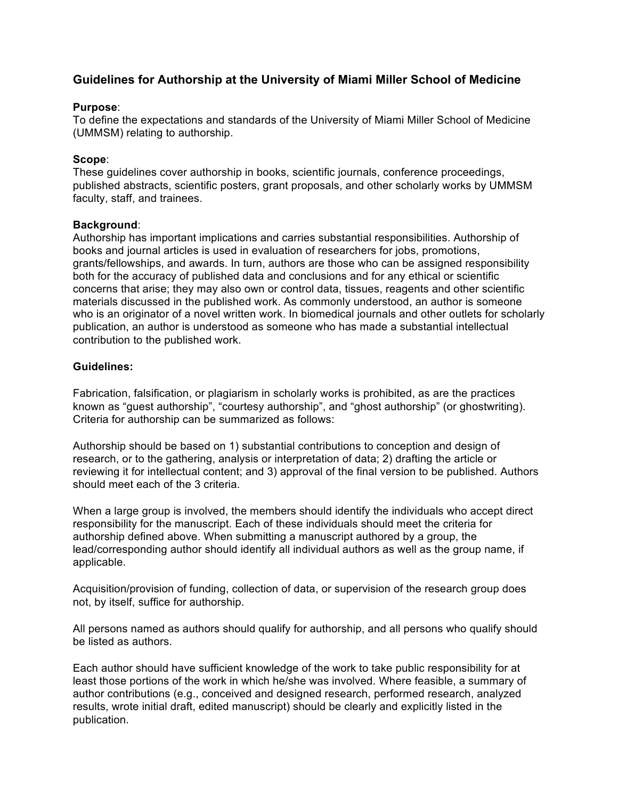# **Guidelines for Authorship at the University of Miami Miller School of Medicine**

# **Purpose**:

To define the expectations and standards of the University of Miami Miller School of Medicine (UMMSM) relating to authorship.

# **Scope**:

These guidelines cover authorship in books, scientific journals, conference proceedings, published abstracts, scientific posters, grant proposals, and other scholarly works by UMMSM faculty, staff, and trainees.

# **Background**:

Authorship has important implications and carries substantial responsibilities. Authorship of books and journal articles is used in evaluation of researchers for jobs, promotions, grants/fellowships, and awards. In turn, authors are those who can be assigned responsibility both for the accuracy of published data and conclusions and for any ethical or scientific concerns that arise; they may also own or control data, tissues, reagents and other scientific materials discussed in the published work. As commonly understood, an author is someone who is an originator of a novel written work. In biomedical journals and other outlets for scholarly publication, an author is understood as someone who has made a substantial intellectual contribution to the published work.

# **Guidelines:**

Fabrication, falsification, or plagiarism in scholarly works is prohibited, as are the practices known as "guest authorship", "courtesy authorship", and "ghost authorship" (or ghostwriting). Criteria for authorship can be summarized as follows:

Authorship should be based on 1) substantial contributions to conception and design of research, or to the gathering, analysis or interpretation of data; 2) drafting the article or reviewing it for intellectual content; and 3) approval of the final version to be published. Authors should meet each of the 3 criteria.

When a large group is involved, the members should identify the individuals who accept direct responsibility for the manuscript. Each of these individuals should meet the criteria for authorship defined above. When submitting a manuscript authored by a group, the lead/corresponding author should identify all individual authors as well as the group name, if applicable.

Acquisition/provision of funding, collection of data, or supervision of the research group does not, by itself, suffice for authorship.

All persons named as authors should qualify for authorship, and all persons who qualify should be listed as authors.

Each author should have sufficient knowledge of the work to take public responsibility for at least those portions of the work in which he/she was involved. Where feasible, a summary of author contributions (e.g., conceived and designed research, performed research, analyzed results, wrote initial draft, edited manuscript) should be clearly and explicitly listed in the publication.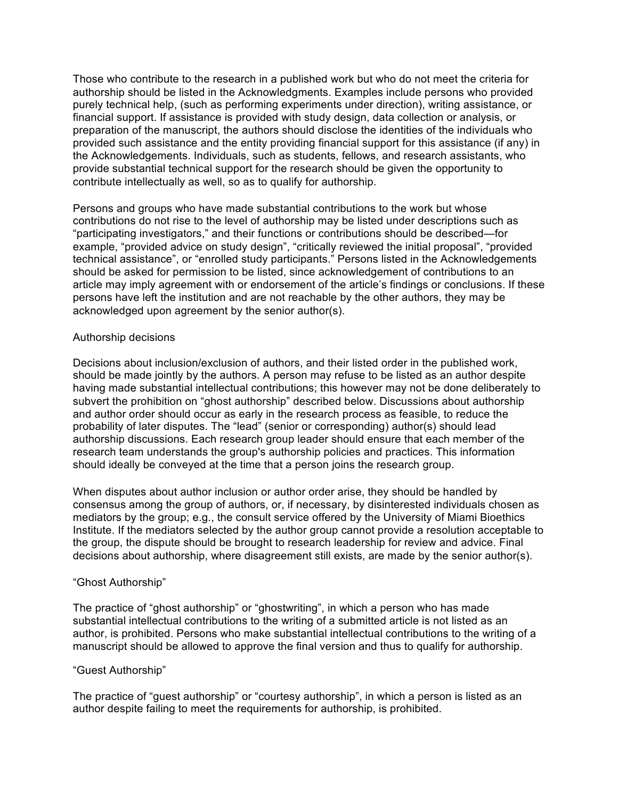Those who contribute to the research in a published work but who do not meet the criteria for authorship should be listed in the Acknowledgments. Examples include persons who provided purely technical help, (such as performing experiments under direction), writing assistance, or financial support. If assistance is provided with study design, data collection or analysis, or preparation of the manuscript, the authors should disclose the identities of the individuals who provided such assistance and the entity providing financial support for this assistance (if any) in the Acknowledgements. Individuals, such as students, fellows, and research assistants, who provide substantial technical support for the research should be given the opportunity to contribute intellectually as well, so as to qualify for authorship.

Persons and groups who have made substantial contributions to the work but whose contributions do not rise to the level of authorship may be listed under descriptions such as "participating investigators," and their functions or contributions should be described—for example, "provided advice on study design", "critically reviewed the initial proposal", "provided technical assistance", or "enrolled study participants." Persons listed in the Acknowledgements should be asked for permission to be listed, since acknowledgement of contributions to an article may imply agreement with or endorsement of the article's findings or conclusions. If these persons have left the institution and are not reachable by the other authors, they may be acknowledged upon agreement by the senior author(s).

## Authorship decisions

Decisions about inclusion/exclusion of authors, and their listed order in the published work, should be made jointly by the authors. A person may refuse to be listed as an author despite having made substantial intellectual contributions; this however may not be done deliberately to subvert the prohibition on "ghost authorship" described below. Discussions about authorship and author order should occur as early in the research process as feasible, to reduce the probability of later disputes. The "lead" (senior or corresponding) author(s) should lead authorship discussions. Each research group leader should ensure that each member of the research team understands the group's authorship policies and practices. This information should ideally be conveyed at the time that a person joins the research group.

When disputes about author inclusion or author order arise, they should be handled by consensus among the group of authors, or, if necessary, by disinterested individuals chosen as mediators by the group; e.g., the consult service offered by the University of Miami Bioethics Institute. If the mediators selected by the author group cannot provide a resolution acceptable to the group, the dispute should be brought to research leadership for review and advice. Final decisions about authorship, where disagreement still exists, are made by the senior author(s).

## "Ghost Authorship"

The practice of "ghost authorship" or "ghostwriting", in which a person who has made substantial intellectual contributions to the writing of a submitted article is not listed as an author, is prohibited. Persons who make substantial intellectual contributions to the writing of a manuscript should be allowed to approve the final version and thus to qualify for authorship.

#### "Guest Authorship"

The practice of "guest authorship" or "courtesy authorship", in which a person is listed as an author despite failing to meet the requirements for authorship, is prohibited.